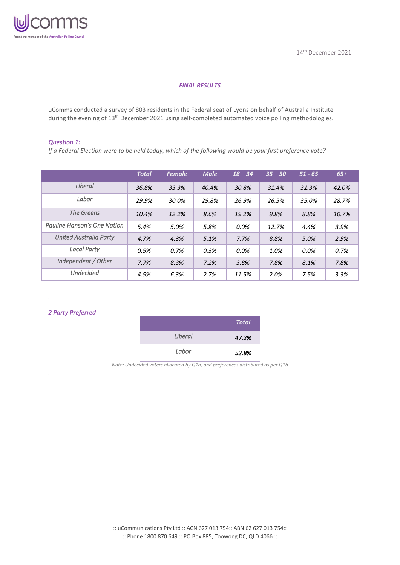

## *FINAL RESULTS*

uComms conducted a survey of 803 residents in the Federal seat of Lyons on behalf of Australia Institute during the evening of 13<sup>th</sup> December 2021 using self-completed automated voice polling methodologies.

#### *Question 1:*

*If a Federal Election were to be held today, which of the following would be your first preference vote?*

|                               | <b>Total</b> | <b>Female</b> | <b>Male</b> | $18 - 34$ | $35 - 50$ | $51 - 65$ | $65+$ |
|-------------------------------|--------------|---------------|-------------|-----------|-----------|-----------|-------|
| Liberal                       | 36.8%        | 33.3%         | 40.4%       | 30.8%     | 31.4%     | 31.3%     | 42.0% |
| Labor                         | 29.9%        | 30.0%         | 29.8%       | 26.9%     | 26.5%     | 35.0%     | 28.7% |
| The Greens                    | 10.4%        | 12.2%         | 8.6%        | 19.2%     | 9.8%      | 8.8%      | 10.7% |
| Pauline Hanson's One Nation   | 5.4%         | 5.0%          | 5.8%        | $0.0\%$   | 12.7%     | 4.4%      | 3.9%  |
| <b>United Australia Party</b> | 4.7%         | 4.3%          | 5.1%        | 7.7%      | 8.8%      | 5.0%      | 2.9%  |
| <b>Local Party</b>            | 0.5%         | 0.7%          | 0.3%        | $0.0\%$   | 1.0%      | $0.0\%$   | 0.7%  |
| Independent / Other           | 7.7%         | 8.3%          | 7.2%        | 3.8%      | 7.8%      | 8.1%      | 7.8%  |
| <b>Undecided</b>              | 4.5%         | 6.3%          | 2.7%        | 11.5%     | 2.0%      | 7.5%      | 3.3%  |

### *2 Party Preferred*

|         | <b>Total</b> |
|---------|--------------|
| Liberal | 47.2%        |
| Labor   | 52.8%        |

*Note: Undecided voters allocated by Q1a, and preferences distributed as per Q1b*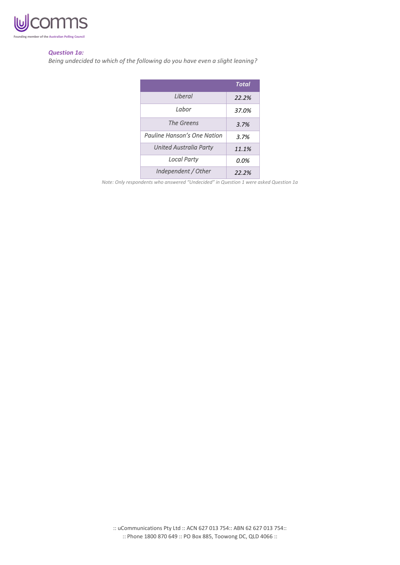

### *Question 1a:*

*Being undecided to which of the following do you have even a slight leaning?*

|                               | <b>Total</b> |
|-------------------------------|--------------|
| <i>I</i> iheral               | 22.2%        |
| Labor                         | 37.0%        |
| The Greens                    | 3.7%         |
| Pauline Hanson's One Nation   | 3.7%         |
| <b>United Australia Party</b> | 11.1%        |
| <b>Local Party</b>            | 0.0%         |
| Independent / Other           | 22.2%        |

*Note: Only respondents who answered "Undecided" in Question 1 were asked Question 1a*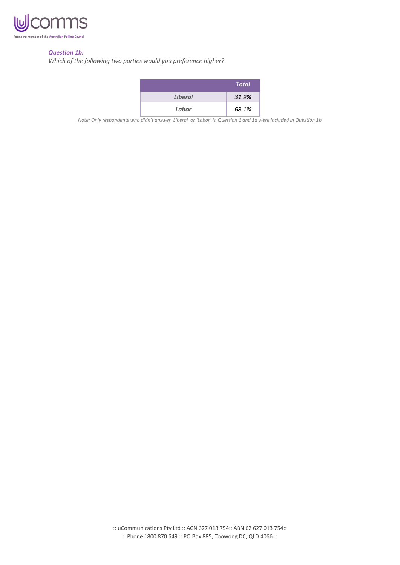

## *Question 1b:*

*Which of the following two parties would you preference higher?*

|                | <b>Total</b> |
|----------------|--------------|
| <b>Liberal</b> | 31.9%        |
| Labor          | 68.1%        |

*Note: Only respondents who didn't answer 'Liberal' or 'Labor' In Question 1 and 1a were included in Question 1b*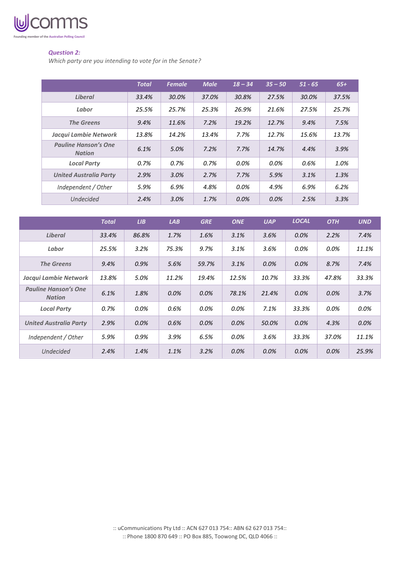

## *Question 2:*

*Which party are you intending to vote for in the Senate?*

|                                              | <b>Total</b> | <b>Female</b> | <b>Male</b> | $18 - 34$ | $35 - 50$ | $51 - 65$ | $65+$ |
|----------------------------------------------|--------------|---------------|-------------|-----------|-----------|-----------|-------|
| <b>Liberal</b>                               | 33.4%        | 30.0%         | 37.0%       | 30.8%     | 27.5%     | 30.0%     | 37.5% |
| Labor                                        | 25.5%        | 25.7%         | 25.3%       | 26.9%     | 21.6%     | 27.5%     | 25.7% |
| <b>The Greens</b>                            | 9.4%         | 11.6%         | 7.2%        | 19.2%     | 12.7%     | 9.4%      | 7.5%  |
| Jacqui Lambie Network                        | 13.8%        | 14.2%         | 13.4%       | 7.7%      | 12.7%     | 15.6%     | 13.7% |
| <b>Pauline Hanson's One</b><br><b>Nation</b> | 6.1%         | 5.0%          | 7.2%        | 7.7%      | 14.7%     | 4.4%      | 3.9%  |
| <b>Local Party</b>                           | 0.7%         | $0.7\%$       | 0.7%        | 0.0%      | 0.0%      | 0.6%      | 1.0%  |
| <b>United Australia Party</b>                | 2.9%         | 3.0%          | 2.7%        | 7.7%      | 5.9%      | 3.1%      | 1.3%  |
| Independent / Other                          | 5.9%         | 6.9%          | 4.8%        | 0.0%      | 4.9%      | 6.9%      | 6.2%  |
| <b>Undecided</b>                             | 2.4%         | 3.0%          | 1.7%        | 0.0%      | 0.0%      | 2.5%      | 3.3%  |

|                                              | <b>Total</b> | LIB   | LAB   | <b>GRE</b> | <b>ONE</b> | <b>UAP</b> | <b>LOCAL</b> | <b>OTH</b> | <b>UND</b> |
|----------------------------------------------|--------------|-------|-------|------------|------------|------------|--------------|------------|------------|
| <b>Liberal</b>                               | 33.4%        | 86.8% | 1.7%  | 1.6%       | 3.1%       | 3.6%       | 0.0%         | 2.2%       | 7.4%       |
| Labor                                        | 25.5%        | 3.2%  | 75.3% | 9.7%       | 3.1%       | 3.6%       | 0.0%         | 0.0%       | 11.1%      |
| <b>The Greens</b>                            | 9.4%         | 0.9%  | 5.6%  | 59.7%      | 3.1%       | 0.0%       | 0.0%         | 8.7%       | 7.4%       |
| Jacqui Lambie Network                        | 13.8%        | 5.0%  | 11.2% | 19.4%      | 12.5%      | 10.7%      | 33.3%        | 47.8%      | 33.3%      |
| <b>Pauline Hanson's One</b><br><b>Nation</b> | 6.1%         | 1.8%  | 0.0%  | $0.0\%$    | 78.1%      | 21.4%      | 0.0%         | 0.0%       | 3.7%       |
| <b>Local Party</b>                           | 0.7%         | 0.0%  | 0.6%  | $0.0\%$    | 0.0%       | 7.1%       | 33.3%        | 0.0%       | 0.0%       |
| <b>United Australia Party</b>                | 2.9%         | 0.0%  | 0.6%  | 0.0%       | 0.0%       | 50.0%      | 0.0%         | 4.3%       | 0.0%       |
| Independent / Other                          | 5.9%         | 0.9%  | 3.9%  | 6.5%       | 0.0%       | 3.6%       | 33.3%        | 37.0%      | 11.1%      |
| <b>Undecided</b>                             | 2.4%         | 1.4%  | 1.1%  | 3.2%       | 0.0%       | $0.0\%$    | 0.0%         | 0.0%       | 25.9%      |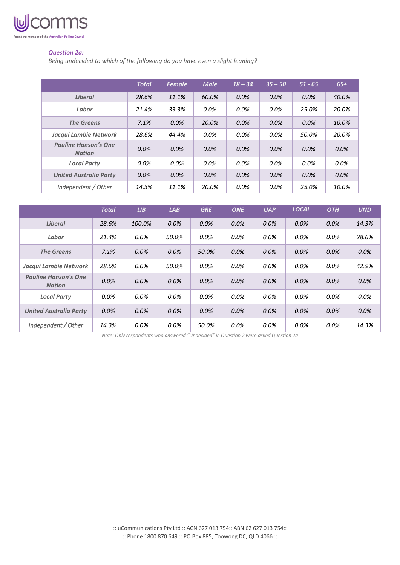

## *Question 2a:*

*Being undecided to which of the following do you have even a slight leaning?*

|                                              | <b>Total</b> | <b>Female</b> | <b>Male</b> | $18 - 34$ | $35 - 50$ | $51 - 65$ | $65+$   |
|----------------------------------------------|--------------|---------------|-------------|-----------|-----------|-----------|---------|
| <b>Liberal</b>                               | 28.6%        | 11.1%         | 60.0%       | $0.0\%$   | $0.0\%$   | 0.0%      | 40.0%   |
| Labor                                        | 21.4%        | 33.3%         | $0.0\%$     | 0.0%      | 0.0%      | 25.0%     | 20.0%   |
| <b>The Greens</b>                            | 7.1%         | 0.0%          | 20.0%       | 0.0%      | 0.0%      | $0.0\%$   | 10.0%   |
| Jacqui Lambie Network                        | 28.6%        | 44.4%         | 0.0%        | $0.0\%$   | 0.0%      | 50.0%     | 20.0%   |
| <b>Pauline Hanson's One</b><br><b>Nation</b> | 0.0%         | 0.0%          | 0.0%        | $0.0\%$   | $0.0\%$   | $0.0\%$   | 0.0%    |
| <b>Local Party</b>                           | 0.0%         | $0.0\%$       | $0.0\%$     | $0.0\%$   | 0.0%      | $0.0\%$   | $0.0\%$ |
| <b>United Australia Party</b>                | 0.0%         | 0.0%          | 0.0%        | 0.0%      | 0.0%      | $0.0\%$   | 0.0%    |
| Independent / Other                          | 14.3%        | 11.1%         | 20.0%       | 0.0%      | 0.0%      | 25.0%     | 10.0%   |

|                                              | <b>Total</b> | LIB     | LAB     | <b>GRE</b> | <b>ONE</b> | <b>UAP</b> | <b>LOCAL</b> | <b>OTH</b> | <b>UND</b> |
|----------------------------------------------|--------------|---------|---------|------------|------------|------------|--------------|------------|------------|
| Liberal                                      | 28.6%        | 100.0%  | 0.0%    | 0.0%       | 0.0%       | 0.0%       | 0.0%         | $0.0\%$    | 14.3%      |
| Labor                                        | 21.4%        | 0.0%    | 50.0%   | 0.0%       | $0.0\%$    | 0.0%       | 0.0%         | 0.0%       | 28.6%      |
| <b>The Greens</b>                            | 7.1%         | $0.0\%$ | 0.0%    | 50.0%      | 0.0%       | 0.0%       | 0.0%         | 0.0%       | 0.0%       |
| Jacqui Lambie Network                        | 28.6%        | 0.0%    | 50.0%   | 0.0%       | 0.0%       | 0.0%       | 0.0%         | 0.0%       | 42.9%      |
| <b>Pauline Hanson's One</b><br><b>Nation</b> | 0.0%         | 0.0%    | $0.0\%$ | 0.0%       | 0.0%       | 0.0%       | 0.0%         | $0.0\%$    | 0.0%       |
| <b>Local Party</b>                           | 0.0%         | 0.0%    | $0.0\%$ | 0.0%       | 0.0%       | $0.0\%$    | 0.0%         | 0.0%       | 0.0%       |
| <b>United Australia Party</b>                | 0.0%         | $0.0\%$ | $0.0\%$ | 0.0%       | 0.0%       | $0.0\%$    | 0.0%         | $0.0\%$    | 0.0%       |
| Independent / Other                          | 14.3%        | 0.0%    | 0.0%    | 50.0%      | $0.0\%$    | 0.0%       | 0.0%         | 0.0%       | 14.3%      |

*Note: Only respondents who answered "Undecided" in Question 2 were asked Question 2a*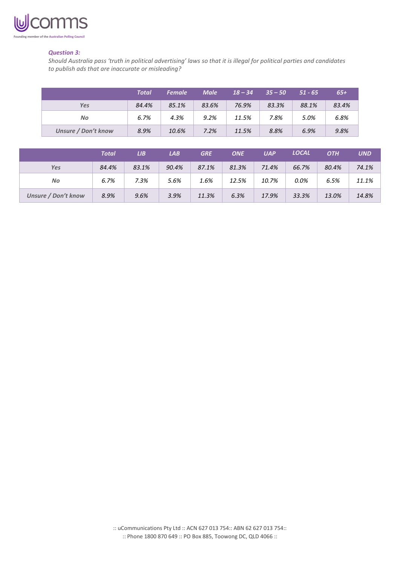

### *Question 3:*

*Should Australia pass 'truth in political advertising' laws so that it is illegal for political parties and candidates to publish ads that are inaccurate or misleading?*

|                     | <b>Total</b> | <b>Female</b> | <b>Male</b> | $18 - 34$ | $35 - 50$ | $51 - 65$ | $65+$ |
|---------------------|--------------|---------------|-------------|-----------|-----------|-----------|-------|
| Yes                 | 84.4%        | 85.1%         | 83.6%       | 76.9%     | 83.3%     | 88.1%     | 83.4% |
| No                  | 6.7%         | 4.3%          | 9.2%        | 11.5%     | 7.8%      | 5.0%      | 6.8%  |
| Unsure / Don't know | 8.9%         | 10.6%         | 7.2%        | 11.5%     | 8.8%      | 6.9%      | 9.8%  |

|                            | Total | LIB.  | LAB   | <b>GRE</b> | <b>ONE</b> | <b>UAP</b> | <b>LOCAL</b> | <b>OTH</b> | <b>UND</b> |
|----------------------------|-------|-------|-------|------------|------------|------------|--------------|------------|------------|
| <b>Yes</b>                 | 84.4% | 83.1% | 90.4% | 87.1%      | 81.3%      | 71.4%      | 66.7%        | 80.4%      | 74.1%      |
| No                         | 6.7%  | 7.3%  | 5.6%  | 1.6%       | 12.5%      | 10.7%      | 0.0%         | 6.5%       | 11.1%      |
| <b>Unsure / Don't know</b> | 8.9%  | 9.6%  | 3.9%  | 11.3%      | 6.3%       | 17.9%      | 33.3%        | 13.0%      | 14.8%      |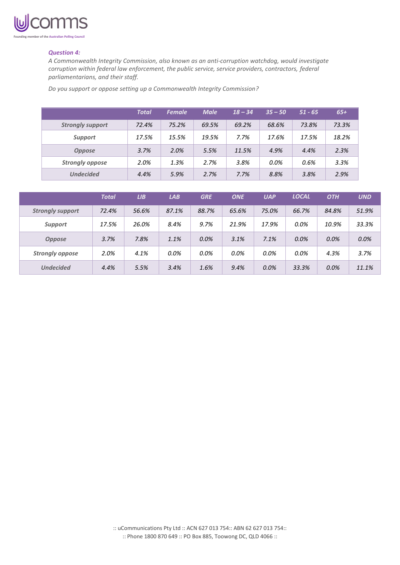

### *Question 4:*

*A Commonwealth Integrity Commission, also known as an anti-corruption watchdog, would investigate corruption within federal law enforcement, the public service, service providers, contractors, federal parliamentarians, and their staff.*

*Do you support or oppose setting up a Commonwealth Integrity Commission?*

|                         | <b>Total</b> | <b>Female</b> | <b>Male</b> | $18 - 34$ | $35 - 50$ | $51 - 65$ | $65+$ |
|-------------------------|--------------|---------------|-------------|-----------|-----------|-----------|-------|
| <b>Strongly support</b> | 72.4%        | 75.2%         | 69.5%       | 69.2%     | 68.6%     | 73.8%     | 73.3% |
| <b>Support</b>          | 17.5%        | 15.5%         | 19.5%       | 7.7%      | 17.6%     | 17.5%     | 18.2% |
| <b>Oppose</b>           | 3.7%         | 2.0%          | 5.5%        | 11.5%     | 4.9%      | 4.4%      | 2.3%  |
| <b>Strongly oppose</b>  | 2.0%         | 1.3%          | 2.7%        | 3.8%      | $0.0\%$   | 0.6%      | 3.3%  |
| <b>Undecided</b>        | 4.4%         | 5.9%          | 2.7%        | 7.7%      | 8.8%      | 3.8%      | 2.9%  |

|                         | <b>Total</b> | LIB   | LAB   | <b>GRE</b> | <b>ONE</b> | <b>UAP</b> | <b>LOCAL</b> | <b>OTH</b> | <b>UND</b> |
|-------------------------|--------------|-------|-------|------------|------------|------------|--------------|------------|------------|
| <b>Strongly support</b> | 72.4%        | 56.6% | 87.1% | 88.7%      | 65.6%      | 75.0%      | 66.7%        | 84.8%      | 51.9%      |
| <b>Support</b>          | 17.5%        | 26.0% | 8.4%  | 9.7%       | 21.9%      | 17.9%      | 0.0%         | 10.9%      | 33.3%      |
| <b>Oppose</b>           | 3.7%         | 7.8%  | 1.1%  | 0.0%       | 3.1%       | 7.1%       | 0.0%         | 0.0%       | 0.0%       |
| <b>Strongly oppose</b>  | 2.0%         | 4.1%  | 0.0%  | 0.0%       | 0.0%       | 0.0%       | 0.0%         | 4.3%       | 3.7%       |
| <b>Undecided</b>        | 4.4%         | 5.5%  | 3.4%  | 1.6%       | 9.4%       | 0.0%       | 33.3%        | 0.0%       | 11.1%      |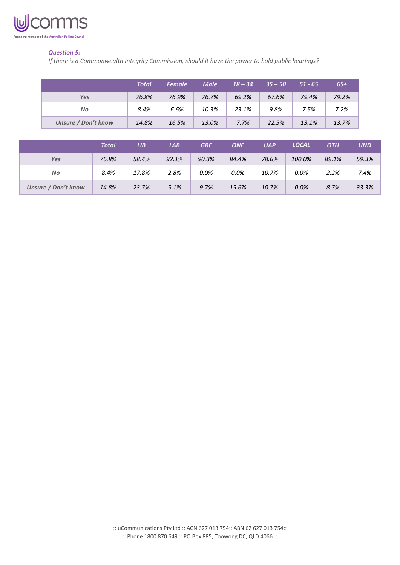

# *Question 5:*

*If there is a Commonwealth Integrity Commission, should it have the power to hold public hearings?*

|                            | <b>Total</b> | <b>Female</b> | <b>Male</b> | $18 - 34$ | $35 - 50$ | $51 - 65$ | $65+$ |
|----------------------------|--------------|---------------|-------------|-----------|-----------|-----------|-------|
| <b>Yes</b>                 | 76.8%        | 76.9%         | 76.7%       | 69.2%     | 67.6%     | 79.4%     | 79.2% |
| No                         | 8.4%         | 6.6%          | 10.3%       | 23.1%     | 9.8%      | 7.5%      | 7.2%  |
| <b>Unsure / Don't know</b> | 14.8%        | 16.5%         | 13.0%       | 7.7%      | 22.5%     | 13.1%     | 13.7% |

|                     | Total | LIB.  | LAB   | <b>GRE</b> | <b>ONE</b> | <b>UAP</b> | <b>LOCAL</b> | <b>OTH</b> | <b>UND</b> |
|---------------------|-------|-------|-------|------------|------------|------------|--------------|------------|------------|
| <b>Yes</b>          | 76.8% | 58.4% | 92.1% | 90.3%      | 84.4%      | 78.6%      | 100.0%       | 89.1%      | 59.3%      |
| No                  | 8.4%  | 17.8% | 2.8%  | 0.0%       | 0.0%       | 10.7%      | 0.0%         | 2.2%       | 7.4%       |
| Unsure / Don't know | 14.8% | 23.7% | 5.1%  | 9.7%       | 15.6%      | 10.7%      | 0.0%         | 8.7%       | 33.3%      |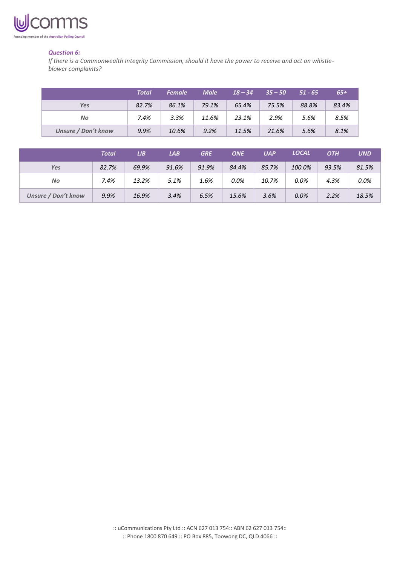

### *Question 6:*

*If there is a Commonwealth Integrity Commission, should it have the power to receive and act on whistleblower complaints?*

|                     | <b>Total</b> | <b>Female</b> | <b>Male</b> | $18 - 34$ | $35 - 50$ | $51 - 65$ | $65+$ |
|---------------------|--------------|---------------|-------------|-----------|-----------|-----------|-------|
| Yes                 | 82.7%        | 86.1%         | 79.1%       | 65.4%     | 75.5%     | 88.8%     | 83.4% |
| No                  | 7.4%         | 3.3%          | 11.6%       | 23.1%     | 2.9%      | 5.6%      | 8.5%  |
| Unsure / Don't know | 9.9%         | 10.6%         | 9.2%        | 11.5%     | 21.6%     | 5.6%      | 8.1%  |

|                     | Total | LIB.  | <b>LAB</b> | <b>GRE</b> | <b>ONE</b> | <b>UAP</b> | <b>LOCAL</b> | <b>OTH</b> | <b>UND</b> |
|---------------------|-------|-------|------------|------------|------------|------------|--------------|------------|------------|
| Yes                 | 82.7% | 69.9% | 91.6%      | 91.9%      | 84.4%      | 85.7%      | 100.0%       | 93.5%      | 81.5%      |
| No                  | 7.4%  | 13.2% | 5.1%       | 1.6%       | 0.0%       | 10.7%      | 0.0%         | 4.3%       | 0.0%       |
| Unsure / Don't know | 9.9%  | 16.9% | 3.4%       | 6.5%       | 15.6%      | 3.6%       | 0.0%         | 2.2%       | 18.5%      |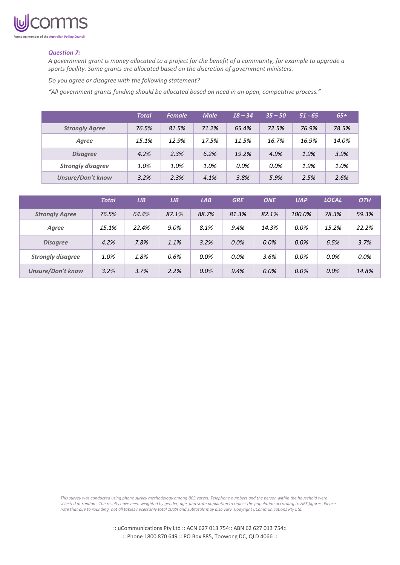

#### *Question 7:*

*A government grant is money allocated to a project for the benefit of a community, for example to upgrade a sports facility. Some grants are allocated based on the discretion of government ministers.* 

*Do you agree or disagree with the following statement?*

*"All government grants funding should be allocated based on need in an open, competitive process."*

|                          | <b>Total</b> | <b>Female</b> | <b>Male</b> | $18 - 34$ | $35 - 50$ | $51 - 65$ | $65+$ |
|--------------------------|--------------|---------------|-------------|-----------|-----------|-----------|-------|
| <b>Strongly Agree</b>    | 76.5%        | 81.5%         | 71.2%       | 65.4%     | 72.5%     | 76.9%     | 78.5% |
| Agree                    | 15.1%        | 12.9%         | 17.5%       | 11.5%     | 16.7%     | 16.9%     | 14.0% |
| <b>Disagree</b>          | 4.2%         | 2.3%          | 6.2%        | 19.2%     | 4.9%      | 1.9%      | 3.9%  |
| <b>Strongly disagree</b> | 1.0%         | 1.0%          | 1.0%        | 0.0%      | 0.0%      | 1.9%      | 1.0%  |
| <b>Unsure/Don't know</b> | 3.2%         | 2.3%          | 4.1%        | 3.8%      | 5.9%      | 2.5%      | 2.6%  |

|                          | <b>Total</b> | LIB   | LIB   | LAB   | <b>GRE</b> | <b>ONE</b> | <b>UAP</b> | <b>LOCAL</b> | <b>OTH</b> |
|--------------------------|--------------|-------|-------|-------|------------|------------|------------|--------------|------------|
| <b>Strongly Agree</b>    | 76.5%        | 64.4% | 87.1% | 88.7% | 81.3%      | 82.1%      | 100.0%     | 78.3%        | 59.3%      |
| Agree                    | 15.1%        | 22.4% | 9.0%  | 8.1%  | 9.4%       | 14.3%      | 0.0%       | 15.2%        | 22.2%      |
| <b>Disagree</b>          | 4.2%         | 7.8%  | 1.1%  | 3.2%  | 0.0%       | 0.0%       | 0.0%       | 6.5%         | 3.7%       |
| <b>Strongly disagree</b> | 1.0%         | 1.8%  | 0.6%  | 0.0%  | 0.0%       | 3.6%       | 0.0%       | $0.0\%$      | 0.0%       |
| <b>Unsure/Don't know</b> | 3.2%         | 3.7%  | 2.2%  | 0.0%  | 9.4%       | 0.0%       | 0.0%       | 0.0%         | 14.8%      |

*This survey was conducted using phone survey methodology among 803 voters. Telephone numbers and the person within the household were selected at random. The results have been weighted by gender, age, and state population to reflect the population according to ABS figures. Please note that due to rounding, not all tables necessarily total 100% and subtotals may also vary. Copyright uCommunications Pty Ltd.*

> :: uCommunications Pty Ltd :: ACN 627 013 754:: ABN 62 627 013 754:: :: Phone 1800 870 649 :: PO Box 885, Toowong DC, QLD 4066 ::